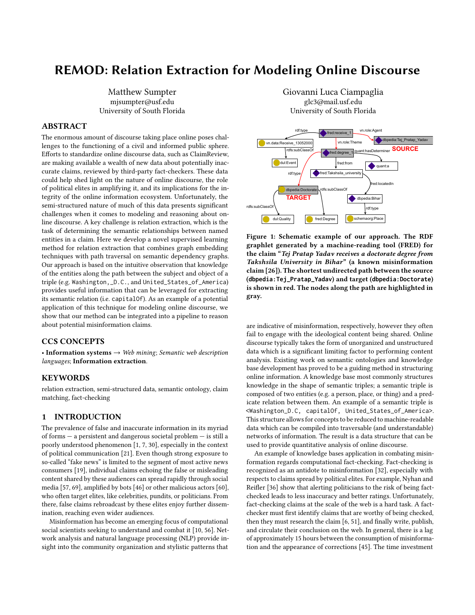# REMOD: Relation Extraction for Modeling Online Discourse

Matthew Sumpter mjsumpter@usf.edu University of South Florida

# ABSTRACT

The enormous amount of discourse taking place online poses challenges to the functioning of a civil and informed public sphere. Efforts to standardize online discourse data, such as ClaimReview, are making available a wealth of new data about potentially inaccurate claims, reviewed by third-party fact-checkers. These data could help shed light on the nature of online discourse, the role of political elites in amplifying it, and its implications for the integrity of the online information ecosystem. Unfortunately, the semi-structured nature of much of this data presents significant challenges when it comes to modeling and reasoning about online discourse. A key challenge is relation extraction, which is the task of determining the semantic relationships between named entities in a claim. Here we develop a novel supervised learning method for relation extraction that combines graph embedding techniques with path traversal on semantic dependency graphs. Our approach is based on the intuitive observation that knowledge of the entities along the path between the subject and object of a triple (e.g. Washington,\_D.C., and United\_States\_of\_America) provides useful information that can be leveraged for extracting its semantic relation (i.e. capitalOf). As an example of a potential application of this technique for modeling online discourse, we show that our method can be integrated into a pipeline to reason about potential misinformation claims.

# CCS CONCEPTS

• Information systems  $\rightarrow$  Web mining; Semantic web description languages; Information extraction.

# KEYWORDS

relation extraction, semi-structured data, semantic ontology, claim matching, fact-checking

# 1 INTRODUCTION

The prevalence of false and inaccurate information in its myriad of forms — a persistent and dangerous societal problem — is still a poorly understood phenomenon [\[1,](#page-7-0) [7,](#page-8-0) [30\]](#page-8-1), especially in the context of political communication [\[21\]](#page-8-2). Even though strong exposure to so-called "fake news" is limited to the segment of most active news consumers [\[19\]](#page-8-3), individual claims echoing the false or misleading content shared by these audiences can spread rapidly through social media [\[57,](#page-9-0) [69\]](#page-9-1), amplified by bots [\[46\]](#page-9-2) or other malicious actors [\[60\]](#page-9-3), who often target elites, like celebrities, pundits, or politicians. From there, false claims rebroadcast by these elites enjoy further dissemination, reaching even wider audiences.

Misinformation has become an emerging focus of computational social scientists seeking to understand and combat it [\[10,](#page-8-4) [56\]](#page-9-4). Network analysis and natural language processing (NLP) provide insight into the community organization and stylistic patterns that

Giovanni Luca Ciampaglia glc3@mail.usf.edu University of South Florida

<span id="page-0-0"></span>

Figure 1: Schematic example of our approach. The RDF graphlet generated by a machine-reading tool (FRED) for the claim "Tej Pratap Yadav receives a doctorate degree from Takshsila University in Bihar" (a known misinformation claim [\[26\]](#page-8-5)). The shortest undirected path between the source (**dbpedia:Tej\_Pratap\_Yadav**) and target (**dbpedia:Doctorate**) is shown in red. The nodes along the path are highlighted in gray.

are indicative of misinformation, respectively, however they often fail to engage with the ideological content being shared. Online discourse typically takes the form of unorganized and unstructured data which is a significant limiting factor to performing content analysis. Existing work on semantic ontologies and knowledge base development has proved to be a guiding method in structuring online information. A knowledge base most commonly structures knowledge in the shape of semantic triples; a semantic triple is composed of two entities (e.g. a person, place, or thing) and a predicate relation between them. An example of a semantic triple is <Washington\_D.C, capitalOf, United\_States\_of\_America>. This structure allows for concepts to be reduced to machine-readable data which can be compiled into traversable (and understandable) networks of information. The result is a data structure that can be used to provide quantitative analysis of online discourse.

An example of knowledge bases application in combating misinformation regards computational fact-checking. Fact-checking is recognized as an antidote to misinformation [\[32\]](#page-8-6), especially with respects to claims spread by political elites. For example, Nyhan and Reifler [\[36\]](#page-8-7) show that alerting politicians to the risk of being factchecked leads to less inaccuracy and better ratings. Unfortunately, fact-checking claims at the scale of the web is a hard task. A factchecker must first identify claims that are worthy of being checked, then they must research the claim [\[6,](#page-8-8) [51\]](#page-9-5), and finally write, publish, and circulate their conclusion on the web. In general, there is a lag of approximately 15 hours between the consumption of misinformation and the appearance of corrections [\[45\]](#page-9-6). The time investment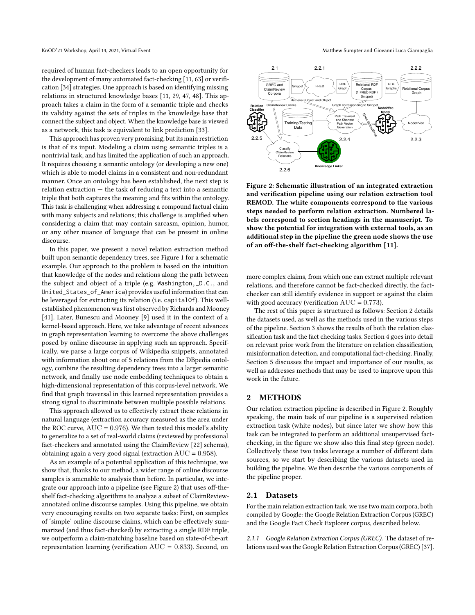required of human fact-checkers leads to an open opportunity for the development of many automated fact-checking [\[11,](#page-8-9) [63\]](#page-9-7) or verification [\[34\]](#page-8-10) strategies. One approach is based on identifying missing relations in structured knowledge bases [\[11,](#page-8-9) [29,](#page-8-11) [47,](#page-9-8) [48\]](#page-9-9). This approach takes a claim in the form of a semantic triple and checks its validity against the sets of triples in the knowledge base that connect the subject and object. When the knowledge base is viewed as a network, this task is equivalent to link prediction [\[33\]](#page-8-12).

This approach has proven very promising, but its main restriction is that of its input. Modeling a claim using semantic triples is a nontrivial task, and has limited the application of such an approach. It requires choosing a semantic ontology (or developing a new one) which is able to model claims in a consistent and non-redundant manner. Once an ontology has been established, the next step is relation extraction — the task of reducing a text into a semantic triple that both captures the meaning and fits within the ontology. This task is challenging when addressing a compound factual claim with many subjects and relations; this challenge is amplified when considering a claim that may contain sarcasm, opinion, humor, or any other nuance of language that can be present in online discourse.

In this paper, we present a novel relation extraction method built upon semantic dependency trees, see Figure [1](#page-0-0) for a schematic example. Our approach to the problem is based on the intuition that knowledge of the nodes and relations along the path between the subject and object of a triple (e.g. Washington,\_D.C., and United\_States\_of\_America) provides useful information that can be leveraged for extracting its relation (i.e. capitalOf). This wellestablished phenomenon was first observed by Richards and Mooney [\[41\]](#page-9-10). Later, Bunescu and Mooney [\[9\]](#page-8-13) used it in the context of a kernel-based approach. Here, we take advantage of recent advances in graph representation learning to overcome the above challenges posed by online discourse in applying such an approach. Specifically, we parse a large corpus of Wikipedia snippets, annotated with information about one of 5 relations from the DBpedia ontology, combine the resulting dependency trees into a larger semantic network, and finally use node embedding techniques to obtain a high-dimensional representation of this corpus-level network. We find that graph traversal in this learned representation provides a strong signal to discriminate between multiple possible relations.

This approach allowed us to effectively extract these relations in natural language (extraction accuracy measured as the area under the ROC curve,  $AUC = 0.976$ ). We then tested this model's ability to generalize to a set of real-world claims (reviewed by professional fact-checkers and annotated using the ClaimReview [\[22\]](#page-8-14) schema), obtaining again a very good signal (extraction  $AUC = 0.958$ ).

As an example of a potential application of this technique, we show that, thanks to our method, a wider range of online discourse samples is amenable to analysis than before. In particular, we integrate our approach into a pipeline (see Figure [2\)](#page-1-0) that uses off-theshelf fact-checking algorithms to analyze a subset of ClaimReviewannotated online discourse samples. Using this pipeline, we obtain very encouraging results on two separate tasks: First, on samples of 'simple' online discourse claims, which can be effectively summarized (and thus fact-checked) by extracting a single RDF triple, we outperform a claim-matching baseline based on state-of-the-art representation learning (verification AUC = 0.833). Second, on

<span id="page-1-0"></span>

Figure 2: Schematic illustration of an integrated extraction and verification pipeline using our relation extraction tool REMOD. The white components correspond to the various steps needed to perform relation extraction. Numbered labels correspond to section headings in the manuscript. To show the potential for integration with external tools, as an additional step in the pipeline the green node shows the use of an off-the-shelf fact-checking algorithm [\[11\]](#page-8-9).

more complex claims, from which one can extract multiple relevant relations, and therefore cannot be fact-checked directly, the factchecker can still identify evidence in support or against the claim with good accuracy (verification  $AUC = 0.773$ ).

The rest of this paper is structured as follows: Section [2](#page-1-1) details the datasets used, as well as the methods used in the various steps of the pipeline. Section [3](#page-4-0) shows the results of both the relation classification task and the fact checking tasks. Section [4](#page-6-0) goes into detail on relevant prior work from the literature on relation classification, misinformation detection, and computational fact-checking. Finally, Section [5](#page-7-1) discusses the impact and importance of our results, as well as addresses methods that may be used to improve upon this work in the future.

# <span id="page-1-1"></span>2 METHODS

Our relation extraction pipeline is described in Figure [2.](#page-1-0) Roughly speaking, the main task of our pipeline is a supervised relation extraction task (white nodes), but since later we show how this task can be integrated to perform an additional unsupervised factchecking, in the figure we show also this final step (green node). Collectively these two tasks leverage a number of different data sources, so we start by describing the various datasets used in building the pipeline. We then describe the various components of the pipeline proper.

# 2.1 Datasets

For the main relation extraction task, we use two main corpora, both compiled by Google: the Google Relation Extraction Corpus (GREC) and the Google Fact Check Explorer corpus, described below.

2.1.1 Google Relation Extraction Corpus (GREC). The dataset of relations used was the Google Relation Extraction Corpus (GREC) [\[37\]](#page-8-15).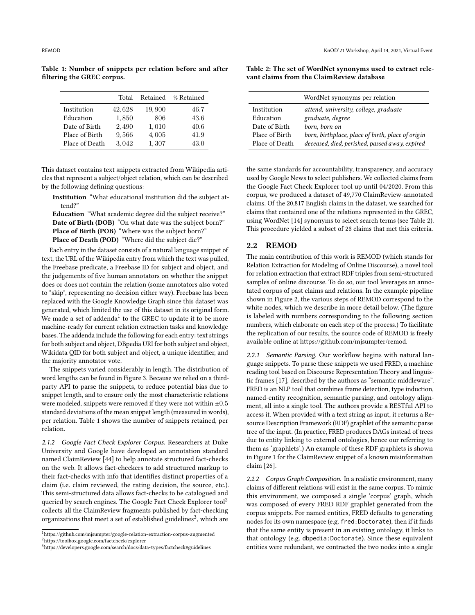<span id="page-2-1"></span>Table 1: Number of snippets per relation before and after filtering the GREC corpus.

|                | Total  | Retained | % Retained |
|----------------|--------|----------|------------|
| Institution    | 42,628 | 19,900   | 46.7       |
| Education      | 1,850  | 806      | 43.6       |
| Date of Birth  | 2,490  | 1,010    | 40.6       |
| Place of Birth | 9,566  | 4,005    | 41.9       |
| Place of Death | 3.042  | 1,307    | 43.0       |

This dataset contains text snippets extracted from Wikipedia articles that represent a subject/object relation, which can be described by the following defining questions:

Institution "What educational institution did the subject attend?"

Education "What academic degree did the subject receive?" Date of Birth (DOB) "On what date was the subject born?" Place of Birth (POB) "Where was the subject born?" Place of Death (POD) "Where did the subject die?"

Each entry in the dataset consists of a natural language snippet of text, the URL of the Wikipedia entry from which the text was pulled, the Freebase predicate, a Freebase ID for subject and object, and the judgements of five human annotators on whether the snippet does or does not contain the relation (some annotators also voted to "skip", representing no decision either way). Freebase has been replaced with the Google Knowledge Graph since this dataset was generated, which limited the use of this dataset in its original form. We made a set of addenda $^1$  $^1$  to the GREC to update it to be more machine-ready for current relation extraction tasks and knowledge bases. The addenda include the following for each entry: text strings for both subject and object, DBpedia URI for both subject and object, Wikidata QID for both subject and object, a unique identifier, and the majority annotator vote.

The snippets varied considerably in length. The distribution of word lengths can be found in Figure [3.](#page-3-0) Because we relied on a thirdparty API to parse the snippets, to reduce potential bias due to snippet length, and to ensure only the most characteristic relations were modeled, snippets were removed if they were not within  $\pm 0.5$ standard deviations of the mean snippet length (measured in words), per relation. Table [1](#page-2-1) shows the number of snippets retained, per relation.

2.1.2 Google Fact Check Explorer Corpus. Researchers at Duke University and Google have developed an annotation standard named ClaimReview [\[44\]](#page-9-11) to help annotate structured fact-checks on the web. It allows fact-checkers to add structured markup to their fact-checks with info that identifies distinct properties of a claim (i.e. claim reviewed, the rating decision, the source, etc.). This semi-structured data allows fact-checks to be catalogued and queried by search engines. The Google Fact Check Explorer tool<sup>[2](#page-2-2)</sup> collects all the ClaimReview fragments published by fact-checking organizations that meet a set of established guidelines<sup>[3](#page-2-3)</sup>, which are

<span id="page-2-4"></span>Table 2: The set of WordNet synonyms used to extract relevant claims from the ClaimReview database

|                | WordNet synonyms per relation                     |
|----------------|---------------------------------------------------|
| Institution    | attend, university, college, graduate             |
| Education      | graduate, degree                                  |
| Date of Birth  | born, born on                                     |
| Place of Birth | born, birthplace, place of birth, place of origin |
| Place of Death | deceased, died, perished, passed away, expired    |

the same standards for accountability, transparency, and accuracy used by Google News to select publishers. We collected claims from the Google Fact Check Explorer tool up until 04/2020. From this corpus, we produced a dataset of 49,770 ClaimReview-annotated claims. Of the 20,817 English claims in the dataset, we searched for claims that contained one of the relations represented in the GREC, using WordNet [\[14\]](#page-8-16) synonyms to select search terms (see Table [2\)](#page-2-4). This procedure yielded a subset of 28 claims that met this criteria.

#### 2.2 REMOD

The main contribution of this work is REMOD (which stands for Relation Extraction for Modeling of Online Discourse), a novel tool for relation extraction that extract RDF triples from semi-structured samples of online discourse. To do so, our tool leverages an annotated corpus of past claims and relations. In the example pipeline shown in Figure [2,](#page-1-0) the various steps of REMOD correspond to the white nodes, which we describe in more detail below. (The figure is labeled with numbers corresponding to the following section numbers, which elaborate on each step of the process.) To facilitate the replication of our results, the source code of REMOD is freely available online at [https://github.com/mjsumpter/remod.](https://github.com/mjsumpter/remod)

2.2.1 Semantic Parsing. Our workflow begins with natural language snippets. To parse these snippets we used FRED, a machine reading tool based on Discourse Representation Theory and linguistic frames [\[17\]](#page-8-17), described by the authors as "semantic middleware". FRED is an NLP tool that combines frame detection, type induction, named-entity recognition, semantic parsing, and ontology alignment, all into a single tool. The authors provide a RESTful API to access it. When provided with a text string as input, it returns a Resource Description Framework (RDF) graphlet of the semantic parse tree of the input. (In practice, FRED produces DAGs instead of trees due to entity linking to external ontologies, hence our referring to them as 'graphlets'.) An example of these RDF graphlets is shown in Figure [1](#page-0-0) for the ClaimReview snippet of a known misinformation claim [\[26\]](#page-8-5).

2.2.2 Corpus Graph Composition. In a realistic environment, many claims of different relations will exist in the same corpus. To mimic this environment, we composed a single 'corpus' graph, which was composed of every FRED RDF graphlet generated from the corpus snippets. For named entities, FRED defaults to generating nodes for its own namespace (e.g. fred:Doctorate), then if it finds that the same entity is present in an existing ontology, it links to that ontology (e.g. dbpedia:Doctorate). Since these equivalent entities were redundant, we contracted the two nodes into a single

<span id="page-2-2"></span><span id="page-2-0"></span> $^1$ <https://github.com/mjsumpter/google-relation-extraction-corpus-augmented> <sup>2</sup><https://toolbox.google.com/factcheck/explorer>

<span id="page-2-3"></span><sup>3</sup><https://developers.google.com/search/docs/data-types/factcheck#guidelines>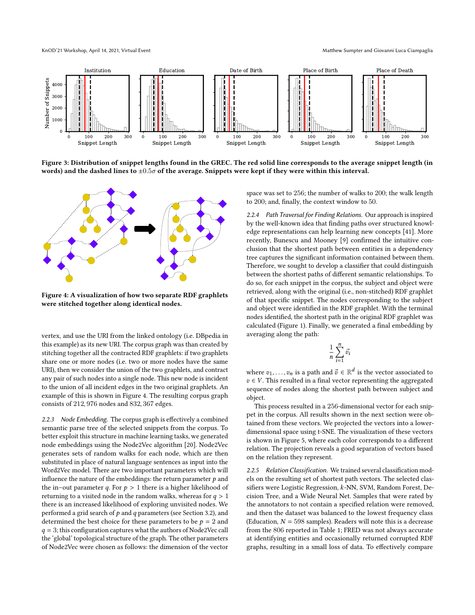KnOD'21 Workshop, April 14, 2021, Virtual Event Matthew Sumpter and Giovanni Luca Ciampaglia

<span id="page-3-0"></span>

Figure 3: Distribution of snippet lengths found in the GREC. The red solid line corresponds to the average snippet length (in words) and the dashed lines to  $\pm 0.5\sigma$  of the average. Snippets were kept if they were within this interval.

<span id="page-3-1"></span>

Figure 4: A visualization of how two separate RDF graphlets were stitched together along identical nodes.

vertex, and use the URI from the linked ontology (i.e. DBpedia in this example) as its new URI. The corpus graph was than created by stitching together all the contracted RDF graphlets: if two graphlets share one or more nodes (i.e. two or more nodes have the same URI), then we consider the union of the two graphlets, and contract any pair of such nodes into a single node. This new node is incident to the union of all incident edges in the two original graphlets. An example of this is shown in Figure [4.](#page-3-1) The resulting corpus graph consists of 212, 976 nodes and 832, 367 edges.

2.2.3 Node Embedding. The corpus graph is effectively a combined semantic parse tree of the selected snippets from the corpus. To better exploit this structure in machine learning tasks, we generated node embeddings using the Node2Vec algorithm [\[20\]](#page-8-18). Node2Vec generates sets of random walks for each node, which are then substituted in place of natural language sentences as input into the Word2Vec model. There are two important parameters which will influence the nature of the embeddings: the return parameter  $p$  and the in–out parameter q. For  $p > 1$  there is a higher likelihood of returning to a visited node in the random walks, whereas for  $q > 1$ there is an increased likelihood of exploring unvisited nodes. We performed a grid search of  $p$  and  $q$  parameters (see Section [3.2\)](#page-4-1), and determined the best choice for these parameters to be  $p = 2$  and  $q = 3$ ; this configuration captures what the authors of Node2Vec call the 'global' topological structure of the graph. The other parameters of Node2Vec were chosen as follows: the dimension of the vector space was set to 256; the number of walks to 200; the walk length to 200; and, finally, the context window to 50.

2.2.4 Path Traversal for Finding Relations. Our approach is inspired by the well-known idea that finding paths over structured knowledge representations can help learning new concepts [\[41\]](#page-9-10). More recently, Bunescu and Mooney [\[9\]](#page-8-13) confirmed the intuitive conclusion that the shortest path between entities in a dependency tree captures the significant information contained between them. Therefore, we sought to develop a classifier that could distinguish between the shortest paths of different semantic relationships. To do so, for each snippet in the corpus, the subject and object were retrieved, along with the original (i.e., non-stitched) RDF graphlet of that specific snippet. The nodes corresponding to the subject and object were identified in the RDF graphlet. With the terminal nodes identified, the shortest path in the original RDF graphlet was calculated (Figure [1\)](#page-0-0). Finally, we generated a final embedding by averaging along the path:

$$
\frac{1}{n}\sum_{i=1}^n \vec{v}_i
$$

where  $v_1, \ldots, v_n$  is a path and  $\vec{v} \in \mathbb{R}^d$  is the vector associated to  $v \in V$ . This resulted in a final vector representing the aggregated sequence of nodes along the shortest path between subject and object.

This process resulted in a 256-dimensional vector for each snippet in the corpus. All results shown in the next section were obtained from these vectors. We projected the vectors into a lowerdimensional space using t-SNE. The visualization of these vectors is shown in Figure [5,](#page-4-2) where each color corresponds to a different relation. The projection reveals a good separation of vectors based on the relation they represent.

2.2.5 Relation Classification. We trained several classification models on the resulting set of shortest path vectors. The selected classifiers were Logistic Regression, k-NN, SVM, Random Forest, Decision Tree, and a Wide Neural Net. Samples that were rated by the annotators to not contain a specified relation were removed, and then the dataset was balanced to the lowest frequency class (Education,  $N = 598$  samples). Readers will note this is a decrease from the 806 reported in Table [1;](#page-2-1) FRED was not always accurate at identifying entities and occasionally returned corrupted RDF graphs, resulting in a small loss of data. To effectively compare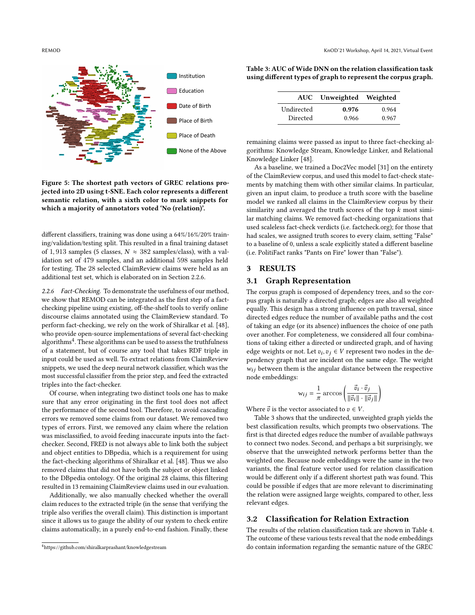<span id="page-4-2"></span>

Figure 5: The shortest path vectors of GREC relations projected into 2D using t-SNE. Each color represents a different semantic relation, with a sixth color to mark snippets for which a majority of annotators voted 'No (relation)'.

different classifiers, training was done using a 64%/16%/20% training/validation/testing split. This resulted in a final training dataset of 1,913 samples (5 classes,  $N \approx 382$  samples/class), with a validation set of 479 samples, and an additional 598 samples held for testing. The 28 selected ClaimReview claims were held as an additional test set, which is elaborated on in Section [2.2.6.](#page-4-3)

<span id="page-4-3"></span>2.2.6 Fact-Checking. To demonstrate the usefulness of our method, we show that REMOD can be integrated as the first step of a factchecking pipeline using existing, off-the-shelf tools to verify online discourse claims annotated using the ClaimReview standard. To perform fact-checking, we rely on the work of Shiralkar et al. [\[48\]](#page-9-9), who provide open-source implementations of several fact-checking algorithms<sup>[4](#page-4-4)</sup>. These algorithms can be used to assess the truthfulness of a statement, but of course any tool that takes RDF triple in input could be used as well. To extract relations from ClaimReview snippets, we used the deep neural network classifier, which was the most successful classifier from the prior step, and feed the extracted triples into the fact-checker.

Of course, when integrating two distinct tools one has to make sure that any error originating in the first tool does not affect the performance of the second tool. Therefore, to avoid cascading errors we removed some claims from our dataset. We removed two types of errors. First, we removed any claim where the relation was misclassified, to avoid feeding inaccurate inputs into the factchecker. Second, FRED is not always able to link both the subject and object entities to DBpedia, which is a requirement for using the fact-checking algorithms of Shiralkar et al. [\[48\]](#page-9-9). Thus we also removed claims that did not have both the subject or object linked to the DBpedia ontology. Of the original 28 claims, this filtering resulted in 13 remaining ClaimReview claims used in our evaluation.

Additionally, we also manually checked whether the overall claim reduces to the extracted triple (in the sense that verifying the triple also verifies the overall claim). This distinction is important since it allows us to gauge the ability of our system to check entire claims automatically, in a purely end-to-end fashion. Finally, these

|  | using different types of graph to represent the corpus graph. |                          |  |  |
|--|---------------------------------------------------------------|--------------------------|--|--|
|  |                                                               | ALIC Unwoichted Weichted |  |  |

<span id="page-4-5"></span>Table 3: AUC of Wide DNN on the relation classification task

|            | AUC Unweighted Weighted |       |
|------------|-------------------------|-------|
| Undirected | 0.976                   | 0.964 |
| Directed   | 0.966                   | 0.967 |

remaining claims were passed as input to three fact-checking algorithms: Knowledge Stream, Knowledge Linker, and Relational Knowledge Linker [\[48\]](#page-9-9).

As a baseline, we trained a Doc2Vec model [\[31\]](#page-8-19) on the entirety of the ClaimReview corpus, and used this model to fact-check statements by matching them with other similar claims. In particular, given an input claim, to produce a truth score with the baseline model we ranked all claims in the ClaimReview corpus by their similarity and averaged the truth scores of the top  $k$  most similar matching claims. We removed fact-checking organizations that used scaleless fact-check verdicts (i.e. factcheck.org); for those that had scales, we assigned truth scores to every claim, setting "False" to a baseline of 0, unless a scale explicitly stated a different baseline (i.e. PolitiFact ranks "Pants on Fire" lower than "False").

# <span id="page-4-0"></span>3 RESULTS

# 3.1 Graph Representation

The corpus graph is composed of dependency trees, and so the corpus graph is naturally a directed graph; edges are also all weighted equally. This design has a strong influence on path traversal, since directed edges reduce the number of available paths and the cost of taking an edge (or its absence) influences the choice of one path over another. For completeness, we considered all four combinations of taking either a directed or undirected graph, and of having edge weights or not. Let  $v_i, v_j \in V$  represent two nodes in the dependency graph that are incident on the same edge. The weight  $w_{ij}$  between them is the angular distance between the respective node embeddings:

$$
w_{ij} = \frac{1}{\pi} \arccos \left( \frac{\vec{v}_i \cdot \vec{v}_j}{\left\| \vec{v}_i \right\| \cdot \left\| \vec{v}_j \right\|} \right)
$$

Where  $\vec{v}$  is the vector associated to  $v \in V$ .

Table [3](#page-4-5) shows that the undirected, unweighted graph yields the best classification results, which prompts two observations. The first is that directed edges reduce the number of available pathways to connect two nodes. Second, and perhaps a bit surprisingly, we observe that the unweighted network performs better than the weighted one. Because node embeddings were the same in the two variants, the final feature vector used for relation classification would be different only if a different shortest path was found. This could be possible if edges that are more relevant to discriminating the relation were assigned large weights, compared to other, less relevant edges.

#### <span id="page-4-1"></span>3.2 Classification for Relation Extraction

The results of the relation classification task are shown in Table [4.](#page-5-0) The outcome of these various tests reveal that the node embeddings do contain information regarding the semantic nature of the GREC

<span id="page-4-4"></span><sup>4</sup><https://github.com/shiralkarprashant/knowledgestream>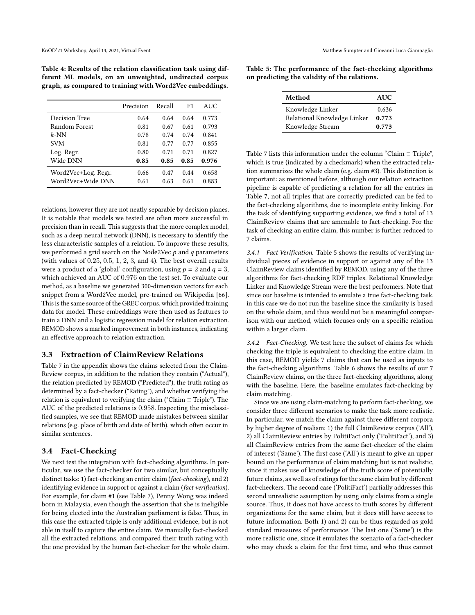<span id="page-5-0"></span>Table 4: Results of the relation classification task using different ML models, on an unweighted, undirected corpus graph, as compared to training with Word2Vec embeddings.

|                     | Precision | Recall | F <sub>1</sub> | <b>AUC</b> |
|---------------------|-----------|--------|----------------|------------|
| Decision Tree       | 0.64      | 0.64   | 0.64           | 0.773      |
| Random Forest       | 0.81      | 0.67   | 0.61           | 0.793      |
| $k$ -NN             | 0.78      | 0.74   | 0.74           | 0.841      |
| <b>SVM</b>          | 0.81      | 0.77   | 0.77           | 0.855      |
| Log. Regr.          | 0.80      | 0.71   | 0.71           | 0.827      |
| Wide DNN            | 0.85      | 0.85   | 0.85           | 0.976      |
| Word2Vec+Log. Regr. | 0.66      | 0.47   | 0.44           | 0.658      |
| Word2Vec+Wide DNN   | 0.61      | 0.63   | 0.61           | 0.883      |

relations, however they are not neatly separable by decision planes. It is notable that models we tested are often more successful in precision than in recall. This suggests that the more complex model, such as a deep neural network (DNN), is necessary to identify the less characteristic samples of a relation. To improve these results, we performed a grid search on the Node2Vec  $p$  and  $q$  parameters (with values of 0.25, 0.5, 1, 2, 3, and 4). The best overall results were a product of a 'global' configuration, using  $p = 2$  and  $q = 3$ , which achieved an AUC of 0.976 on the test set. To evaluate our method, as a baseline we generated 300-dimension vectors for each snippet from a Word2Vec model, pre-trained on Wikipedia [\[66\]](#page-9-12). This is the same source of the GREC corpus, which provided training data for model. These embeddings were then used as features to train a DNN and a logistic regression model for relation extraction. REMOD shows a marked improvement in both instances, indicating an effective approach to relation extraction.

#### 3.3 Extraction of ClaimReview Relations

Table [7](#page-10-0) in the appendix shows the claims selected from the Claim-Review corpus, in addition to the relation they contain ("Actual"), the relation predicted by REMOD ("Predicted"), the truth rating as determined by a fact-checker ("Rating"), and whether verifying the relation is equivalent to verifying the claim ("Claim  $\equiv$  Triple"). The AUC of the predicted relations is 0.958. Inspecting the misclassified samples, we see that REMOD made mistakes between similar relations (e.g. place of birth and date of birth), which often occur in similar sentences.

### 3.4 Fact-Checking

We next test the integration with fact-checking algorithms. In particular, we use the fact-checker for two similar, but conceptually distinct tasks: 1) fact-checking an entire claim (fact-checking), and 2) identifying evidence in support or against a claim (fact verification). For example, for claim #1 (see Table [7\)](#page-10-0), Penny Wong was indeed born in Malaysia, even though the assertion that she is ineligible for being elected into the Australian parliament is false. Thus, in this case the extracted triple is only additional evidence, but is not able in itself to capture the entire claim. We manually fact-checked all the extracted relations, and compared their truth rating with the one provided by the human fact-checker for the whole claim.

<span id="page-5-1"></span>Table 5: The performance of the fact-checking algorithms on predicting the validity of the relations.

| Method                      | AUC   |
|-----------------------------|-------|
| Knowledge Linker            | 0.636 |
| Relational Knowledge Linker | 0.773 |
| Knowledge Stream            | 0.773 |

Table [7](#page-10-0) lists this information under the column "Claim ≡ Triple", which is true (indicated by a checkmark) when the extracted relation summarizes the whole claim (e.g. claim #3). This distinction is important: as mentioned before, although our relation extraction pipeline is capable of predicting a relation for all the entries in Table [7,](#page-10-0) not all triples that are correctly predicted can be fed to the fact-checking algorithms, due to incomplete entity linking. For the task of identifying supporting evidence, we find a total of 13 ClaimReview claims that are amenable to fact-checking. For the task of checking an entire claim, this number is further reduced to 7 claims.

3.4.1 Fact Verification. Table [5](#page-5-1) shows the results of verifying individual pieces of evidence in support or against any of the 13 ClaimReview claims identified by REMOD, using any of the three algorithms for fact-checking RDF triples. Relational Knowledge Linker and Knowledge Stream were the best performers. Note that since our baseline is intended to emulate a true fact-checking task, in this case we do not run the baseline since the similarity is based on the whole claim, and thus would not be a meaningful comparison with our method, which focuses only on a specific relation within a larger claim.

3.4.2 Fact-Checking. We test here the subset of claims for which checking the triple is equivalent to checking the entire claim. In this case, REMOD yields 7 claims that can be used as inputs to the fact-checking algorithms. Table [6](#page-6-1) shows the results of our 7 ClaimReview claims, on the three fact-checking algorithms, along with the baseline. Here, the baseline emulates fact-checking by claim matching.

Since we are using claim-matching to perform fact-checking, we consider three different scenarios to make the task more realistic. In particular, we match the claim against three different corpora by higher degree of realism: 1) the full ClaimReview corpus ('All'), 2) all ClaimReview entries by PolitiFact only ('PolitiFact'), and 3) all ClaimReview entries from the same fact-checker of the claim of interest ('Same'). The first case ('All') is meant to give an upper bound on the performance of claim matching but is not realistic, since it makes use of knowledge of the truth score of potentially future claims, as well as of ratings for the same claim but by different fact-checkers. The second case ('PolitiFact') partially addresses this second unrealistic assumption by using only claims from a single source. Thus, it does not have access to truth scores by different organizations for the same claim, but it does still have access to future information. Both 1) and 2) can be thus regarded as gold standard measures of performance. The last one ('Same') is the more realistic one, since it emulates the scenario of a fact-checker who may check a claim for the first time, and who thus cannot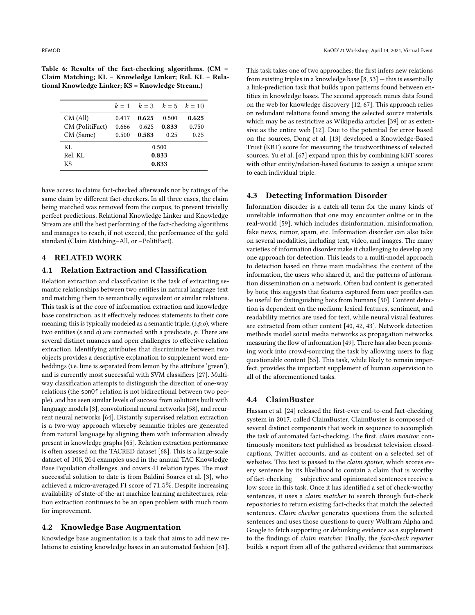<span id="page-6-1"></span>Table 6: Results of the fact-checking algorithms. (CM = Claim Matching; KL = Knowledge Linker; Rel. KL = Relational Knowledge Linker; KS = Knowledge Stream.)

|                 |       |       | $k=1$ $k=3$ $k=5$ $k=10$ |       |  |
|-----------------|-------|-------|--------------------------|-------|--|
| CM (All)        | 0.417 | 0.625 | 0.500                    | 0.625 |  |
| CM (PolitiFact) | 0.666 | 0.625 | 0.833                    | 0.750 |  |
| CM (Same)       | 0.500 | 0.583 | 0.25                     | 0.25  |  |
| KI.             | 0.500 |       |                          |       |  |
| Rel KL          | 0.833 |       |                          |       |  |
| KS.             | 0.833 |       |                          |       |  |

have access to claims fact-checked afterwards nor by ratings of the same claim by different fact-checkers. In all three cases, the claim being matched was removed from the corpus, to prevent trivially perfect predictions. Relational Knowledge Linker and Knowledge Stream are still the best performing of the fact-checking algorithms and manages to reach, if not exceed, the performance of the gold standard (Claim Matching–All, or –PolitiFact).

# <span id="page-6-0"></span>4 RELATED WORK

# 4.1 Relation Extraction and Classification

Relation extraction and classification is the task of extracting semantic relationships between two entities in natural language text and matching them to semantically equivalent or similar relations. This task is at the core of information extraction and knowledge base construction, as it effectively reduces statements to their core meaning; this is typically modeled as a semantic triple,  $(s, p, o)$ , where two entities ( $s$  and  $o$ ) are connected with a predicate,  $p$ . There are several distinct nuances and open challenges to effective relation extraction. Identifying attributes that discriminate between two objects provides a descriptive explanation to supplement word embeddings (i.e. lime is separated from lemon by the attribute 'green'), and is currently most successful with SVM classifiers [\[27\]](#page-8-20). Multiway classification attempts to distinguish the direction of one-way relations (the sonOf relation is not bidirectional between two people), and has seen similar levels of success from solutions built with language models [\[3\]](#page-8-21), convolutional neural networks [\[58\]](#page-9-13), and recurrent neural networks [\[64\]](#page-9-14). Distantly supervised relation extraction is a two-way approach whereby semantic triples are generated from natural language by aligning them with information already present in knowledge graphs [\[65\]](#page-9-15). Relation extraction performance is often assessed on the TACRED dataset [\[68\]](#page-9-16). This is a large-scale dataset of 106, 264 examples used in the annual TAC Knowledge Base Population challenges, and covers 41 relation types. The most successful solution to date is from Baldini Soares et al. [\[3\]](#page-8-21), who achieved a micro-averaged F1 score of 71.5%. Despite increasing availability of state-of-the-art machine learning architectures, relation extraction continues to be an open problem with much room for improvement.

#### 4.2 Knowledge Base Augmentation

Knowledge base augmentation is a task that aims to add new relations to existing knowledge bases in an automated fashion [\[61\]](#page-9-17). This task takes one of two approaches; the first infers new relations from existing triples in a knowledge base  $[8, 53]$  $[8, 53]$  $[8, 53]$  - this is essentially a link-prediction task that builds upon patterns found between entities in knowledge bases. The second approach mines data found on the web for knowledge discovery [\[12,](#page-8-23) [67\]](#page-9-19). This approach relies on redundant relations found among the selected source materials, which may be as restrictive as Wikipedia articles [\[39\]](#page-8-24) or as extensive as the entire web [\[12\]](#page-8-23). Due to the potential for error based on the sources, Dong et al. [\[13\]](#page-8-25) developed a Knowledge-Based Trust (KBT) score for measuring the trustworthiness of selected sources. Yu et al. [\[67\]](#page-9-19) expand upon this by combining KBT scores with other entity/relation-based features to assign a unique score to each individual triple.

# 4.3 Detecting Information Disorder

Information disorder is a catch-all term for the many kinds of unreliable information that one may encounter online or in the real-world [\[59\]](#page-9-20), which includes disinformation, misinformation, fake news, rumor, spam, etc. Information disorder can also take on several modalities, including text, video, and images. The many varieties of information disorder make it challenging to develop any one approach for detection. This leads to a multi-model approach to detection based on three main modalities: the content of the information, the users who shared it, and the patterns of information dissemination on a network. Often bad content is generated by bots; this suggests that features captured from user profiles can be useful for distinguishing bots from humans [\[50\]](#page-9-21). Content detection is dependent on the medium; lexical features, sentiment, and readability metrics are used for text, while neural visual features are extracted from other content [\[40,](#page-9-22) [42,](#page-9-23) [43\]](#page-9-24). Network detection methods model social media networks as propagation networks, measuring the flow of information [\[49\]](#page-9-25). There has also been promising work into crowd-sourcing the task by allowing users to flag questionable content [\[55\]](#page-9-26). This task, while likely to remain imperfect, provides the important supplement of human supervision to all of the aforementioned tasks.

#### 4.4 ClaimBuster

Hassan et al. [\[24\]](#page-8-26) released the first-ever end-to-end fact-checking system in 2017, called ClaimBuster. ClaimBuster is composed of several distinct components that work in sequence to accomplish the task of automated fact-checking. The first, claim monitor, continuously monitors text published as broadcast television closedcaptions, Twitter accounts, and as content on a selected set of websites. This text is passed to the claim spotter, which scores every sentence by its likelihood to contain a claim that is worthy of fact-checking — subjective and opinionated sentences receive a low score in this task. Once it has identified a set of check-worthy sentences, it uses a *claim matcher* to search through fact-check repositories to return existing fact-checks that match the selected sentences. Claim checker generates questions from the selected sentences and uses those questions to query Wolfram Alpha and Google to fetch supporting or debunking evidence as a supplement to the findings of claim matcher. Finally, the fact-check reporter builds a report from all of the gathered evidence that summarizes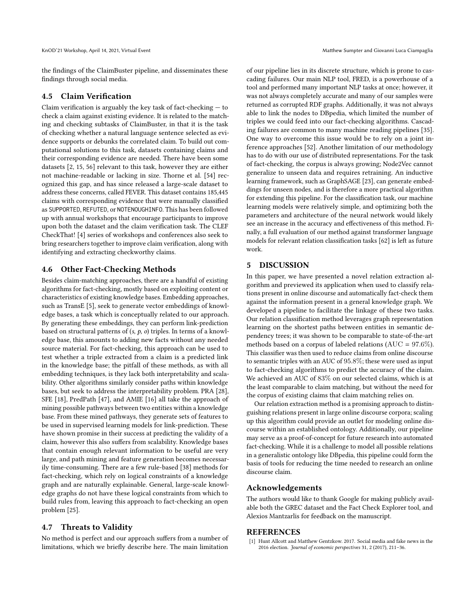the findings of the ClaimBuster pipeline, and disseminates these findings through social media.

#### 4.5 Claim Verification

Claim verification is arguably the key task of fact-checking — to check a claim against existing evidence. It is related to the matching and checking subtasks of ClaimBuster, in that it is the task of checking whether a natural language sentence selected as evidence supports or debunks the correlated claim. To build out computational solutions to this task, datasets containing claims and their corresponding evidence are needed. There have been some datasets [\[2,](#page-8-27) [15,](#page-8-28) [56\]](#page-9-4) relevant to this task, however they are either not machine-readable or lacking in size. Thorne et al. [\[54\]](#page-9-27) recognized this gap, and has since released a large-scale dataset to address these concerns, called FEVER. This dataset contains 185,445 claims with corresponding evidence that were manually classified as SUPPORTED, REFUTED, or NOTENOUGHINFO. This has been followed up with annual workshops that encourage participants to improve upon both the dataset and the claim verification task. The CLEF CheckThat! [\[4\]](#page-8-29) series of workshops and conferences also seek to bring researchers together to improve claim verification, along with identifying and extracting checkworthy claims.

# 4.6 Other Fact-Checking Methods

Besides claim-matching approaches, there are a handful of existing algorithms for fact-checking, mostly based on exploiting content or characteristics of existing knowledge bases. Embedding approaches, such as TransE [\[5\]](#page-8-30), seek to generate vector embeddings of knowledge bases, a task which is conceptually related to our approach. By generating these embeddings, they can perform link-prediction based on structural patterns of  $(s, p, o)$  triples. In terms of a knowledge base, this amounts to adding new facts without any needed source material. For fact-checking, this approach can be used to test whether a triple extracted from a claim is a predicted link in the knowledge base; the pitfall of these methods, as with all embedding techniques, is they lack both interpretability and scalability. Other algorithms similarly consider paths within knowledge bases, but seek to address the interpretability problem. PRA [\[28\]](#page-8-31), SFE [\[18\]](#page-8-32), PredPath [\[47\]](#page-9-8), and AMIE [\[16\]](#page-8-33) all take the approach of mining possible pathways between two entities within a knowledge base. From these mined pathways, they generate sets of features to be used in supervised learning models for link-prediction. These have shown promise in their success at predicting the validity of a claim, however this also suffers from scalability. Knowledge bases that contain enough relevant information to be useful are very large, and path mining and feature generation becomes necessarily time-consuming. There are a few rule-based [\[38\]](#page-8-34) methods for fact-checking, which rely on logical constraints of a knowledge graph and are naturally explainable. General, large-scale knowledge graphs do not have these logical constraints from which to build rules from, leaving this approach to fact-checking an open problem [\[25\]](#page-8-35).

### 4.7 Threats to Validity

No method is perfect and our approach suffers from a number of limitations, which we briefly describe here. The main limitation

of our pipeline lies in its discrete structure, which is prone to cascading failures. Our main NLP tool, FRED, is a powerhouse of a tool and performed many important NLP tasks at once; however, it was not always completely accurate and many of our samples were returned as corrupted RDF graphs. Additionally, it was not always able to link the nodes to DBpedia, which limited the number of triples we could feed into our fact-checking algorithms. Cascading failures are common to many machine reading pipelines [\[35\]](#page-8-36). One way to overcome this issue would be to rely on a joint inference approaches [\[52\]](#page-9-28). Another limitation of our methodology has to do with our use of distributed representations. For the task of fact-checking, the corpus is always growing; Node2Vec cannot generalize to unseen data and requires retraining. An inductive learning framework, such as GraphSAGE [\[23\]](#page-8-37), can generate embeddings for unseen nodes, and is therefore a more practical algorithm for extending this pipeline. For the classification task, our machine learning models were relatively simple, and optimizing both the parameters and architecture of the neural network would likely see an increase in the accuracy and effectiveness of this method. Finally, a full evaluation of our method against transformer language models for relevant relation classification tasks [\[62\]](#page-9-29) is left as future work.

# <span id="page-7-1"></span>5 DISCUSSION

In this paper, we have presented a novel relation extraction algorithm and previewed its application when used to classify relations present in online discourse and automatically fact-check them against the information present in a general knowledge graph. We developed a pipeline to facilitate the linkage of these two tasks. Our relation classification method leverages graph representation learning on the shortest paths between entities in semantic dependency trees; it was shown to be comparable to state-of-the-art methods based on a corpus of labeled relations ( $AUC = 97.6\%$ ). This classifier was then used to reduce claims from online discourse to semantic triples with an AUC of 95.8%; these were used as input to fact-checking algorithms to predict the accuracy of the claim. We achieved an AUC of 83% on our selected claims, which is at the least comparable to claim matching, but without the need for the corpus of existing claims that claim matching relies on.

Our relation extraction method is a promising approach to distinguishing relations present in large online discourse corpora; scaling up this algorithm could provide an outlet for modeling online discourse within an established ontology. Additionally, our pipeline may serve as a proof-of-concept for future research into automated fact-checking. While it is a challenge to model all possible relations in a generalistic ontology like DBpedia, this pipeline could form the basis of tools for reducing the time needed to research an online discourse claim.

#### Acknowledgements

The authors would like to thank Google for making publicly available both the GREC dataset and the Fact Check Explorer tool, and Alexios Mantzarlis for feedback on the manuscript.

#### REFERENCES

<span id="page-7-0"></span>Hunt Allcott and Matthew Gentzkow. 2017. Social media and fake news in the 2016 election. Journal of economic perspectives 31, 2 (2017), 211–36.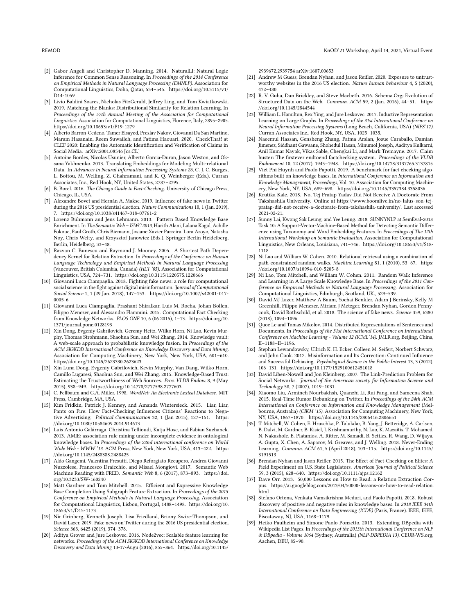- <span id="page-8-27"></span>[2] Gabor Angeli and Christopher D. Manning. 2014. NaturalLI: Natural Logic Inference for Common Sense Reasoning. In Proceedings of the 2014 Conference on Empirical Methods in Natural Language Processing (EMNLP). Association for Computational Linguistics, Doha, Qatar, 534–545. [https://doi.org/10.3115/v1/](https://doi.org/10.3115/v1/D14-1059) [D14-1059](https://doi.org/10.3115/v1/D14-1059)
- <span id="page-8-21"></span>[3] Livio Baldini Soares, Nicholas FitzGerald, Jeffrey Ling, and Tom Kwiatkowski. 2019. Matching the Blanks: Distributional Similarity for Relation Learning. In Proceedings of the 57th Annual Meeting of the Association for Computational Linguistics. Association for Computational Linguistics, Florence, Italy, 2895–2905. <https://doi.org/10.18653/v1/P19-1279>
- <span id="page-8-29"></span>[4] Alberto Barron-Cedeno, Tamer Elsayed, Preslav Nakov, Giovanni Da San Martino, Maram Hasanain, Reem Suwaileh, and Fatima Haouari. 2020. CheckThat! at CLEF 2020: Enabling the Automatic Identification and Verification of Claims in Social Media. arXiv[:2001.08546](https://arxiv.org/abs/2001.08546) [cs.CL]
- <span id="page-8-30"></span>[5] Antoine Bordes, Nicolas Usunier, Alberto Garcia-Duran, Jason Weston, and Oksana Yakhnenko. 2013. Translating Embeddings for Modeling Multi-relational Data. In Advances in Neural Information Processing Systems 26, C. J. C. Burges, L. Bottou, M. Welling, Z. Ghahramani, and K. Q. Weinberger (Eds.). Curran Associates, Inc., Red Hook, NY, United States, 2787–2795.
- <span id="page-8-8"></span>[6] B. Borel. 2016. The Chicago Guide to Fact-Checking. University of Chicago Press, Chicago, IL, USA.
- <span id="page-8-0"></span>[7] Alexandre Bovet and Hernán A. Makse. 2019. Influence of fake news in Twitter during the 2016 US presidential election. Nature Communications 10, 1 (Jan. 2019), 7.<https://doi.org/10.1038/s41467-018-07761-2>
- <span id="page-8-22"></span>[8] Lorenz Bühmann and Jens Lehmann. 2013. Pattern Based Knowledge Base Enrichment. In The Semantic Web – ISWC 2013, Harith Alani, Lalana Kagal, Achille Fokoue, Paul Groth, Chris Biemann, Josiane Xavier Parreira, Lora Aroyo, Natasha Noy, Chris Welty, and Krzysztof Janowicz (Eds.). Springer Berlin Heidelberg, Berlin, Heidelberg, 33–48.
- <span id="page-8-13"></span>[9] Razvan C. Bunescu and Raymond J. Mooney. 2005. A Shortest Path Dependency Kernel for Relation Extraction. In Proceedings of the Conference on Human Language Technology and Empirical Methods in Natural Language Processing (Vancouver, British Columbia, Canada) (HLT '05). Association for Computational Linguistics, USA, 724–731.<https://doi.org/10.3115/1220575.1220666>
- <span id="page-8-4"></span>[10] Giovanni Luca Ciampaglia. 2018. Fighting fake news: a role for computational social science in the fight against digital misinformation. Journal of Computational Social Science 1, 1 (29 Jan. 2018), 147–153. [https://doi.org/10.1007/s42001-017-](https://doi.org/10.1007/s42001-017-0005-6) [0005-6](https://doi.org/10.1007/s42001-017-0005-6)
- <span id="page-8-9"></span>[11] Giovanni Luca Ciampaglia, Prashant Shiralkar, Luis M. Rocha, Johan Bollen, Filippo Menczer, and Alessandro Flammini. 2015. Computational Fact Checking from Knowledge Networks. PLOS ONE 10, 6 (06 2015), 1–13. [https://doi.org/10.](https://doi.org/10.1371/journal.pone.0128193) [1371/journal.pone.0128193](https://doi.org/10.1371/journal.pone.0128193)
- <span id="page-8-23"></span>[12] Xin Dong, Evgeniy Gabrilovich, Geremy Heitz, Wilko Horn, Ni Lao, Kevin Murphy, Thomas Strohmann, Shaohua Sun, and Wei Zhang. 2014. Knowledge vault: A web-scale approach to probabilistic knowledge fusion. In Proceedings of the ACM SIGKDD International Conference on Knowledge Discovery and Data Mining. Association for Computing Machinery, New York, New York, USA, 601–610. <https://doi.org/10.1145/2623330.2623623>
- <span id="page-8-25"></span>[13] Xin Luna Dong, Evgeniy Gabrilovich, Kevin Murphy, Van Dang, Wilko Horn, Camillo Lugaresi, Shaohua Sun, and Wei Zhang. 2015. Knowledge-Based Trust: Estimating the Trustworthiness of Web Sources. Proc. VLDB Endow. 8, 9 (May 2015), 938–949.<https://doi.org/10.14778/2777598.2777603>
- <span id="page-8-16"></span>[14] C. Fellbaum and G.A. Miller. 1998. WordNet: An Electronic Lexical Database. MIT Press, Cambridge, MA, USA.
- <span id="page-8-28"></span>[15] Kim Fridkin, Patrick J. Kenney, and Amanda Wintersieck. 2015. Liar, Liar, Pants on Fire: How Fact-Checking Influences Citizens' Reactions to Negative Advertising. Political Communication 32, 1 (Jan 2015), 127–151. [https:](https://doi.org/10.1080/10584609.2014.914613) [//doi.org/10.1080/10584609.2014.914613](https://doi.org/10.1080/10584609.2014.914613)
- <span id="page-8-33"></span>[16] Luis Antonio Galárraga, Christina Teflioudi, Katja Hose, and Fabian Suchanek. 2013. AMIE: association rule mining under incomplete evidence in ontological knowledge bases. In Proceedings of the 22nd international conference on World Wide Web - WWW '13. ACM Press, New York, New York, USA, 413–422. [https:](https://doi.org/10.1145/2488388.2488425) [//doi.org/10.1145/2488388.2488425](https://doi.org/10.1145/2488388.2488425)
- <span id="page-8-17"></span>[17] Aldo Gangemi, Valentina Presutti, Diego Reforgiato Recupero, Andrea Giovanni Nuzzolese, Francesco Draicchio, and Misael Mongiovì. 2017. Semantic Web Machine Reading with FRED. Semantic Web 8, 6 (2017), 873–893. [https://doi.](https://doi.org/10.3233/SW-160240) [org/10.3233/SW-160240](https://doi.org/10.3233/SW-160240)
- <span id="page-8-32"></span>[18] Matt Gardner and Tom Mitchell. 2015. Efficient and Expressive Knowledge Base Completion Using Subgraph Feature Extraction. In Proceedings of the 2015 Conference on Empirical Methods in Natural Language Processing. Association for Computational Linguistics, Lisbon, Portugal, 1488–1498. [https://doi.org/10.](https://doi.org/10.18653/v1/D15-1173) [18653/v1/D15-1173](https://doi.org/10.18653/v1/D15-1173)
- <span id="page-8-3"></span>[19] Nir Grinberg, Kenneth Joseph, Lisa Friedland, Briony Swire-Thompson, and David Lazer. 2019. Fake news on Twitter during the 2016 US presidential election. Science 363, 6425 (2019), 374–378.
- <span id="page-8-18"></span>[20] Aditya Grover and Jure Leskovec. 2016. Node2vec: Scalable feature learning for networks. Proceedings of the ACM SIGKDD International Conference on Knowledge Discovery and Data Mining 13-17-Augu (2016), 855–864. [https://doi.org/10.1145/](https://doi.org/10.1145/2939672.2939754)

[2939672.2939754](https://doi.org/10.1145/2939672.2939754) arXiv[:1607.00653](https://arxiv.org/abs/1607.00653)

- <span id="page-8-2"></span>[21] Andrew M Guess, Brendan Nyhan, and Jason Reifler. 2020. Exposure to untrustworthy websites in the 2016 US election. Nature human behaviour 4, 5 (2020), 472–480.
- <span id="page-8-14"></span>[22] R. V. Guha, Dan Brickley, and Steve Macbeth. 2016. Schema.Org: Evolution of Structured Data on the Web. Commun. ACM 59, 2 (Jan. 2016), 44–51. [https:](https://doi.org/10.1145/2844544) [//doi.org/10.1145/2844544](https://doi.org/10.1145/2844544)
- <span id="page-8-37"></span>[23] William L. Hamilton, Rex Ying, and Jure Leskovec. 2017. Inductive Representation Learning on Large Graphs. In Proceedings of the 31st International Conference on Neural Information Processing Systems (Long Beach, California, USA) (NIPS'17). Curran Associates Inc., Red Hook, NY, USA, 1025–1035.
- <span id="page-8-26"></span>[24] Naeemul Hassan, Gensheng Zhang, Fatma Arslan, Josue Caraballo, Damian Jimenez, Siddhant Gawsane, Shohedul Hasan, Minumol Joseph, Aaditya Kulkarni, Anil Kumar Nayak, Vikas Sable, Chengkai Li, and Mark Tremayne. 2017. Claim buster: The firstever endtoend factchecking system. Proceedings of the VLDB Endowment 10, 12 (2017), 1945–1948.<https://doi.org/10.14778/3137765.3137815>
- <span id="page-8-35"></span>[25] Viet Phi Huynh and Paolo Papotti. 2019. A benchmark for fact checking algorithms built on knowledge bases. In International Conference on Information and Knowledge Management, Proceedings, Vol. 10. Association for Computing Machinery, New York, NY, USA, 689–698.<https://doi.org/10.1145/3357384.3358036>
- <span id="page-8-5"></span>[26] Krutika Kale. 2018. No, Tej Pratap Yadav Did Not Receive A Doctorate From Takshashila University. Online at [https://www.boomlive.in/no-lalus-son-tej](https://www.boomlive.in/no-lalus-son-tej-pratap-did-not-receive-a-doctorate-from-takshashila-university/)[pratap-did-not-receive-a-doctorate-from-takshashila-university/.](https://www.boomlive.in/no-lalus-son-tej-pratap-did-not-receive-a-doctorate-from-takshashila-university/) Last accessed  $2021 - 02 - 21$ .
- <span id="page-8-20"></span>[27] Sunny Lai, Kwong Sak Leung, and Yee Leung. 2018. SUNNYNLP at SemEval-2018 Task 10: A Support-Vector-Machine-Based Method for Detecting Semantic Difference using Taxonomy and Word Embedding Features. In Proceedings of The 12th International Workshop on Semantic Evaluation. Association for Computational Linguistics, New Orleans, Louisiana, 741–746. [https://doi.org/10.18653/v1/S18-](https://doi.org/10.18653/v1/S18-1118) [1118](https://doi.org/10.18653/v1/S18-1118)
- <span id="page-8-31"></span>[28] Ni Lao and William W. Cohen. 2010. Relational retrieval using a combination of path-constrained random walks. Machine Learning 81, 1 (2010), 53–67. [https:](https://doi.org/10.1007/s10994-010-5205-8) [//doi.org/10.1007/s10994-010-5205-8](https://doi.org/10.1007/s10994-010-5205-8)
- <span id="page-8-11"></span>[29] Ni Lao, Tom Mitchell, and William W. Cohen. 2011. Random Walk Inference and Learning in A Large Scale Knowledge Base. In Proceedings of the 2011 Conference on Empirical Methods in Natural Language Processing. Association for Computational Linguistics, Edinburgh, Scotland, UK., 529–539.
- <span id="page-8-1"></span>[30] David MJ Lazer, Matthew A Baum, Yochai Benkler, Adam J Berinsky, Kelly M Greenhill, Filippo Menczer, Miriam J Metzger, Brendan Nyhan, Gordon Pennycook, David Rothschild, et al. 2018. The science of fake news. Science 359, 6380  $(2018)$ , 1094–1096.
- <span id="page-8-19"></span>[31] Quoc Le and Tomas Mikolov. 2014. Distributed Representations of Sentences and Documents. In Proceedings of the 31st International Conference on International Conference on Machine Learning - Volume 32 (ICML'14). JMLR.org, Beijing, China, II–1188–II–1196.
- <span id="page-8-6"></span>[32] Stephan Lewandowsky, Ullrich K. H. Ecker, Colleen M. Seifert, Norbert Schwarz, and John Cook. 2012. Misinformation and Its Correction: Continued Influence and Successful Debiasing. Psychological Science in the Public Interest 13, 3 (2012), 106–131.<https://doi.org/10.1177/1529100612451018>
- <span id="page-8-12"></span>[33] David Liben-Nowell and Jon Kleinberg. 2007. The Link-Prediction Problem for Social Networks. Journal of the American society for Information Science and Technology 58, 7 (2007), 1019–1031.
- <span id="page-8-10"></span>[34] Xiaomo Liu, Armineh Nourbakhsh, Quanzhi Li, Rui Fang, and Sameena Shah. 2015. Real-Time Rumor Debunking on Twitter. In Proceedings of the 24th ACM International on Conference on Information and Knowledge Management (Melbourne, Australia) (CIKM '15). Association for Computing Machinery, New York, NY, USA, 1867–1870.<https://doi.org/10.1145/2806416.2806651>
- <span id="page-8-36"></span>[35] T. Mitchell, W. Cohen, E. Hruschka, P. Talukdar, B. Yang, J. Betteridge, A. Carlson, B. Dalvi, M. Gardner, B. Kisiel, J. Krishnamurthy, N. Lao, K. Mazaitis, T. Mohamed, N. Nakashole, E. Platanios, A. Ritter, M. Samadi, B. Settles, R. Wang, D. Wijaya, A. Gupta, X. Chen, A. Saparov, M. Greaves, and J. Welling. 2018. Never-Ending Learning. Commun. ACM 61, 5 (April 2018), 103–115. [https://doi.org/10.1145/](https://doi.org/10.1145/3191513) [3191513](https://doi.org/10.1145/3191513)
- <span id="page-8-7"></span>[36] Brendan Nyhan and Jason Reifler. 2015. The Effect of Fact-Checking on Elites: A Field Experiment on U.S. State Legislators. American Journal of Political Science 59, 3 (2015), 628–640.<https://doi.org/10.1111/ajps.12162>
- <span id="page-8-15"></span>[37] Dave Orr. 2013. 50,000 Lessons on How to Read: a Relation Extraction Corpus. [https://ai.googleblog.com/2013/04/50000-lessons-on-how-to-read-relation.](https://ai.googleblog.com/2013/04/50000-lessons-on-how-to-read-relation.html) [html](https://ai.googleblog.com/2013/04/50000-lessons-on-how-to-read-relation.html)
- <span id="page-8-34"></span>[38] Stefano Ortona, Venkata Vamsikrishna Meduri, and Paolo Papotti. 2018. Robust discovery of positive and negative rules in knowledge bases. In 2018 IEEE 34th International Conference on Data Engineering (ICDE) (Paris, France). IEEE, IEEE, Piscataway, NJ, USA, 1168–1179.
- <span id="page-8-24"></span>[39] Heiko Paulheim and Simone Paolo Ponzetto. 2013. Extending DBpedia with Wikipedia List Pages. In Proceedings of the 2013th International Conference on NLP & DBpedia - Volume 1064 (Sydney, Australia) (NLP-DBPEDIA'13). CEUR-WS.org, Aachen, DEU, 85–90.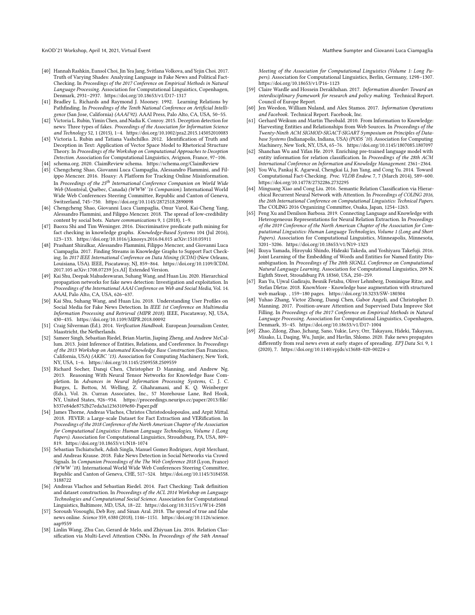- <span id="page-9-22"></span>[40] Hannah Rashkin, Eunsol Choi, Jin Yea Jang, Svitlana Volkova, and Yejin Choi. 2017. Truth of Varying Shades: Analyzing Language in Fake News and Political Fact-Checking. In Proceedings of the 2017 Conference on Empirical Methods in Natural Language Processing. Association for Computational Linguistics, Copenhagen, Denmark, 2931–2937.<https://doi.org/10.18653/v1/D17-1317>
- <span id="page-9-10"></span>[41] Bradley L. Richards and Raymond J. Mooney. 1992. Learning Relations by Pathfinding. In Proceedings of the Tenth National Conference on Artificial Intelligence (San Jose, California) (AAAI'92). AAAI Press, Palo Alto, CA, USA, 50–55.
- <span id="page-9-23"></span>[42] Victoria L. Rubin, Yimin Chen, and Nadia K. Conroy. 2015. Deception detection for news: Three types of fakes. Proceedings of the Association for Information Science and Technology 52, 1 (2015), 1–4.<https://doi.org/10.1002/pra2.2015.145052010083>
- <span id="page-9-24"></span>[43] Victoria L. Rubin and Tatiana Vashchilko. 2012. Identification of Truth and Deception in Text: Application of Vector Space Model to Rhetorical Structure Theory. In Proceedings of the Workshop on Computational Approaches to Deception Detection. Association for Computational Linguistics, Avignon, France, 97–106.
- <span id="page-9-11"></span><span id="page-9-6"></span>[44] schema.org. 2020. ClaimReview schema.<https://schema.org/ClaimReview> [45] Chengcheng Shao, Giovanni Luca Ciampaglia, Alessandro Flammini, and Filippo Menczer. 2016. Hoaxy: A Platform for Tracking Online Misinformation. In Proceedings of the 25<sup>th</sup> International Conference Companion on World Wide Web (Montréal, Québec, Canada) (WWW '16 Companion). International World Wide Web Conferences Steering Committee, Republic and Canton of Geneva, Switzerland, 745–750.<https://doi.org/10.1145/2872518.2890098>
- <span id="page-9-2"></span>[46] Chengcheng Shao, Giovanni Luca Ciampaglia, Onur Varol, Kai-Cheng Yang, Alessandro Flammini, and Filippo Menczer. 2018. The spread of low-credibility content by social bots. Nature communications 9, 1 (2018), 1–9.
- <span id="page-9-8"></span>[47] Baoxu Shi and Tim Weninger. 2016. Discriminative predicate path mining for fact checking in knowledge graphs. Knowledge-Based Systems 104 (Jul 2016), 123–133.<https://doi.org/10.1016/j.knosys.2016.04.015> arXiv[:1510.05911](https://arxiv.org/abs/1510.05911)
- <span id="page-9-9"></span>[48] Prashant Shiralkar, Alessandro Flammini, Filippo Menczer, and Giovanni Luca Ciampaglia. 2017. Finding Streams in Knowledge Graphs to Support Fact Checking. In 2017 IEEE International Conference on Data Mining (ICDM) (New Orleans, Louisiana, USA). IEEE, Piscataway, NJ, 859–864. [https://doi.org/10.1109/ICDM.](https://doi.org/10.1109/ICDM.2017.105) [2017.105](https://doi.org/10.1109/ICDM.2017.105) arXiv[:1708.07239](https://arxiv.org/abs/1708.07239) [cs.AI] Extended Version.
- <span id="page-9-25"></span>[49] Kai Shu, Deepak Mahudeswaran, Suhang Wang, and Huan Liu. 2020. Hierarchical propagation networks for fake news detection: Investigation and exploitation. In Proceedings of the International AAAI Conference on Web and Social Media, Vol. 14. AAAI, Palo Alto, CA, USA, 626–637.
- <span id="page-9-21"></span>[50] Kai Shu, Suhang Wang, and Huan Liu. 2018. Understanding User Profiles on Social Media for Fake News Detection. In IEEE 1st Conference on Multimedia Information Processing and Retrieval (MIPR 2018). IEEE, Piscataway, NJ, USA, 430–435.<https://doi.org/10.1109/MIPR.2018.00092>
- <span id="page-9-5"></span>[51] Craig Silverman (Ed.). 2014. Verification Handbook. European Journalism Center, Maastricht, the Netherlands.
- <span id="page-9-28"></span>[52] Sameer Singh, Sebastian Riedel, Brian Martin, Jiaping Zheng, and Andrew McCallum. 2013. Joint Inference of Entities, Relations, and Coreference. In Proceedings of the 2013 Workshop on Automated Knowledge Base Construction (San Francisco, California, USA) (AKBC '13). Association for Computing Machinery, New York, NY, USA, 1–6.<https://doi.org/10.1145/2509558.2509559>
- <span id="page-9-18"></span>[53] Richard Socher, Danqi Chen, Christopher D Manning, and Andrew Ng. 2013. Reasoning With Neural Tensor Networks for Knowledge Base Completion. In Advances in Neural Information Processing Systems, C. J. C. Burges, L. Bottou, M. Welling, Z. Ghahramani, and K. Q. Weinberger (Eds.), Vol. 26. Curran Associates, Inc., 57 Morehouse Lane, Red Hook, NY, United States, 926–934. [https://proceedings.neurips.cc/paper/2013/file/](https://proceedings.neurips.cc/paper/2013/file/b337e84de8752b27eda3a12363109e80-Paper.pdf) [b337e84de8752b27eda3a12363109e80-Paper.pdf](https://proceedings.neurips.cc/paper/2013/file/b337e84de8752b27eda3a12363109e80-Paper.pdf)
- <span id="page-9-27"></span>[54] James Thorne, Andreas Vlachos, Christos Christodoulopoulos, and Arpit Mittal. 2018. FEVER: a Large-scale Dataset for Fact Extraction and VERification. In Proceedings of the 2018 Conference of the North American Chapter of the Association for Computational Linguistics: Human Language Technologies, Volume 1 (Long Papers). Association for Computational Linguistics, Stroudsburg, PA, USA, 809– 819.<https://doi.org/10.18653/v1/N18-1074>
- <span id="page-9-26"></span>[55] Sebastian Tschiatschek, Adish Singla, Manuel Gomez Rodriguez, Arpit Merchant, and Andreas Krause. 2018. Fake News Detection in Social Networks via Crowd Signals. In Companion Proceedings of the The Web Conference 2018 (Lyon, France) (WWW '18). International World Wide Web Conferences Steering Committee, Republic and Canton of Geneva, CHE, 517–524. [https://doi.org/10.1145/3184558.](https://doi.org/10.1145/3184558.3188722) [3188722](https://doi.org/10.1145/3184558.3188722)
- <span id="page-9-4"></span>[56] Andreas Vlachos and Sebastian Riedel. 2014. Fact Checking: Task definition and dataset construction. In Proceedings of the ACL 2014 Workshop on Language Technologies and Computational Social Science. Association for Computational Linguistics, Baltimore, MD, USA, 18–22.<https://doi.org/10.3115/v1/W14-2508>
- <span id="page-9-0"></span>[57] Soroush Vosoughi, Deb Roy, and Sinan Aral. 2018. The spread of true and false news online. Science 359, 6380 (2018), 1146–1151. [https://doi.org/10.1126/science.](https://doi.org/10.1126/science.aap9559) [aap9559](https://doi.org/10.1126/science.aap9559)
- <span id="page-9-13"></span>[58] Linlin Wang, Zhu Cao, Gerard de Melo, and Zhiyuan Liu. 2016. Relation Classification via Multi-Level Attention CNNs. In Proceedings of the 54th Annual

Meeting of the Association for Computational Linguistics (Volume 1: Long Papers). Association for Computational Linguistics, Berlin, Germany, 1298–1307. <https://doi.org/10.18653/v1/P16-1123>

- <span id="page-9-20"></span>[59] Claire Wardle and Hossein Derakhshan. 2017. Information disorder: Toward an interdisciplinary framework for research and policy making. Technical Report. Council of Europe Report.
- <span id="page-9-3"></span>[60] Jen Weedon, William Nuland, and Alex Stamos. 2017. Information Operations and Facebook. Technical Report. Facebook, Inc.
- <span id="page-9-17"></span>[61] Gerhard Weikum and Martin Theobald. 2010. From Information to Knowledge: Harvesting Entities and Relationships from Web Sources. In Proceedings of the Twenty-Ninth ACM SIGMOD-SIGACT-SIGART Symposium on Principles of Database Systems (Indianapolis, Indiana, USA) (PODS '10). Association for Computing Machinery, New York, NY, USA, 65–76.<https://doi.org/10.1145/1807085.1807097>
- <span id="page-9-29"></span>[62] Shanchan Wu and Yifan He. 2019. Enriching pre-trained language model with entity information for relation classification. In Proceedings of the 28th ACM International Conference on Information and Knowledge Management. 2361–2364.
- <span id="page-9-7"></span>[63] You Wu, Pankaj K. Agarwal, Chengkai Li, Jun Yang, and Cong Yu. 2014. Toward Computational Fact-Checking. Proc. VLDB Endow. 7, 7 (March 2014), 589–600. <https://doi.org/10.14778/2732286.2732295>
- <span id="page-9-14"></span>[64] Minguang Xiao and Cong Liu. 2016. Semantic Relation Classification via Hierarchical Recurrent Neural Network with Attention. In Proceedings of COLING 2016, the 26th International Conference on Computational Linguistics: Technical Papers. The COLING 2016 Organizing Committee, Osaka, Japan, 1254–1263.
- <span id="page-9-15"></span>[65] Peng Xu and Denilson Barbosa. 2019. Connecting Language and Knowledge with Heterogeneous Representations for Neural Relation Extraction. In Proceedings of the 2019 Conference of the North American Chapter of the Association for Computational Linguistics: Human Language Technologies, Volume 1 (Long and Short Papers). Association for Computational Linguistics, Minneapolis, Minnesota, 3201–3206.<https://doi.org/10.18653/v1/N19-1323>
- <span id="page-9-12"></span>[66] Ikuya Yamada, Hiroyuki Shindo, Hideaki Takeda, and Yoshiyasu Takefuji. 2016. Joint Learning of the Embedding of Words and Entities for Named Entity Disambiguation. In Proceedings of The 20th SIGNLL Conference on Computational Natural Language Learning. Association for Computational Linguistics, 209 N. Eighth Street, Stroudsburg PA 18360, USA, 250–259.
- <span id="page-9-19"></span>[67] Ran Yu, Ujwal Gadiraju, Besnik Fetahu, Oliver Lehmberg, Dominique Ritze, and Stefan DIetze. 2018. KnowMore - Knowledge base augmentation with structured web markup. , 159–180 pages.<https://doi.org/10.3233/SW-180304>
- <span id="page-9-16"></span>Yuhao Zhang, Victor Zhong, Danqi Chen, Gabor Angeli, and Christopher D. Manning. 2017. Position-aware Attention and Supervised Data Improve Slot Filling. In Proceedings of the 2017 Conference on Empirical Methods in Natural Language Processing. Association for Computational Linguistics, Copenhagen, Denmark, 35–45.<https://doi.org/10.18653/v1/D17-1004>
- <span id="page-9-1"></span>[69] Zhao, Zilong, Zhao, Jichang, Sano, Yukie, Levy, Orr, Takayasu, Hideki, Takayasu, Misako, Li, Daqing, Wu, Junjie, and Havlin, Shlomo. 2020. Fake news propagates differently from real news even at early stages of spreading. EPJ Data Sci. 9, 1 (2020), 7.<https://doi.org/10.1140/epjds/s13688-020-00224-z>